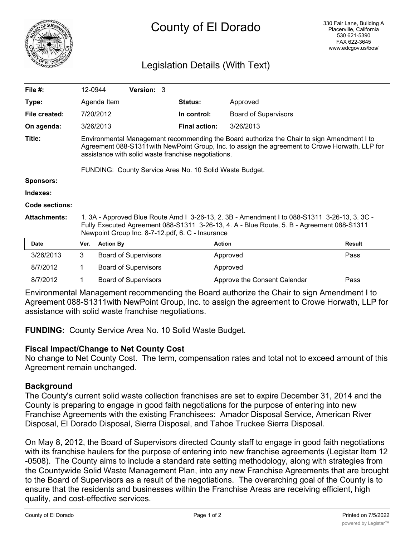

# Legislation Details (With Text)

| File $#$ :            | 12-0944                                                                                                                                                                                                                                                                                                         |                  | <b>Version: 3</b>           |  |                      |                              |               |
|-----------------------|-----------------------------------------------------------------------------------------------------------------------------------------------------------------------------------------------------------------------------------------------------------------------------------------------------------------|------------------|-----------------------------|--|----------------------|------------------------------|---------------|
| Type:                 |                                                                                                                                                                                                                                                                                                                 | Agenda Item      |                             |  | <b>Status:</b>       | Approved                     |               |
| File created:         |                                                                                                                                                                                                                                                                                                                 | 7/20/2012        |                             |  | In control:          | <b>Board of Supervisors</b>  |               |
| On agenda:            |                                                                                                                                                                                                                                                                                                                 | 3/26/2013        |                             |  | <b>Final action:</b> | 3/26/2013                    |               |
| Title:                | Environmental Management recommending the Board authorize the Chair to sign Amendment I to<br>Agreement 088-S1311 with NewPoint Group, Inc. to assign the agreement to Crowe Horwath, LLP for<br>assistance with solid waste franchise negotiations.<br>FUNDING: County Service Area No. 10 Solid Waste Budget. |                  |                             |  |                      |                              |               |
| <b>Sponsors:</b>      |                                                                                                                                                                                                                                                                                                                 |                  |                             |  |                      |                              |               |
| Indexes:              |                                                                                                                                                                                                                                                                                                                 |                  |                             |  |                      |                              |               |
|                       |                                                                                                                                                                                                                                                                                                                 |                  |                             |  |                      |                              |               |
| <b>Code sections:</b> |                                                                                                                                                                                                                                                                                                                 |                  |                             |  |                      |                              |               |
| <b>Attachments:</b>   | 1. 3A - Approved Blue Route Amd I 3-26-13, 2. 3B - Amendment I to 088-S1311 3-26-13, 3. 3C -<br>Fully Executed Agreement 088-S1311 3-26-13, 4. A - Blue Route, 5. B - Agreement 088-S1311<br>Newpoint Group Inc. 8-7-12.pdf, 6. C - Insurance                                                                   |                  |                             |  |                      |                              |               |
| Date                  | Ver.                                                                                                                                                                                                                                                                                                            | <b>Action By</b> |                             |  | <b>Action</b>        |                              | <b>Result</b> |
| 3/26/2013             | 3                                                                                                                                                                                                                                                                                                               |                  | <b>Board of Supervisors</b> |  |                      | Approved                     | Pass          |
| 8/7/2012              | 1                                                                                                                                                                                                                                                                                                               |                  | <b>Board of Supervisors</b> |  |                      | Approved                     |               |
| 8/7/2012              |                                                                                                                                                                                                                                                                                                                 |                  | <b>Board of Supervisors</b> |  |                      | Approve the Consent Calendar | Pass          |

Environmental Management recommending the Board authorize the Chair to sign Amendment I to Agreement 088-S1311with NewPoint Group, Inc. to assign the agreement to Crowe Horwath, LLP for assistance with solid waste franchise negotiations.

**FUNDING:** County Service Area No. 10 Solid Waste Budget.

## **Fiscal Impact/Change to Net County Cost**

No change to Net County Cost. The term, compensation rates and total not to exceed amount of this Agreement remain unchanged.

## **Background**

The County's current solid waste collection franchises are set to expire December 31, 2014 and the County is preparing to engage in good faith negotiations for the purpose of entering into new Franchise Agreements with the existing Franchisees: Amador Disposal Service, American River Disposal, El Dorado Disposal, Sierra Disposal, and Tahoe Truckee Sierra Disposal.

On May 8, 2012, the Board of Supervisors directed County staff to engage in good faith negotiations with its franchise haulers for the purpose of entering into new franchise agreements (Legistar Item 12 -0508). The County aims to include a standard rate setting methodology, along with strategies from the Countywide Solid Waste Management Plan, into any new Franchise Agreements that are brought to the Board of Supervisors as a result of the negotiations. The overarching goal of the County is to ensure that the residents and businesses within the Franchise Areas are receiving efficient, high quality, and cost-effective services.